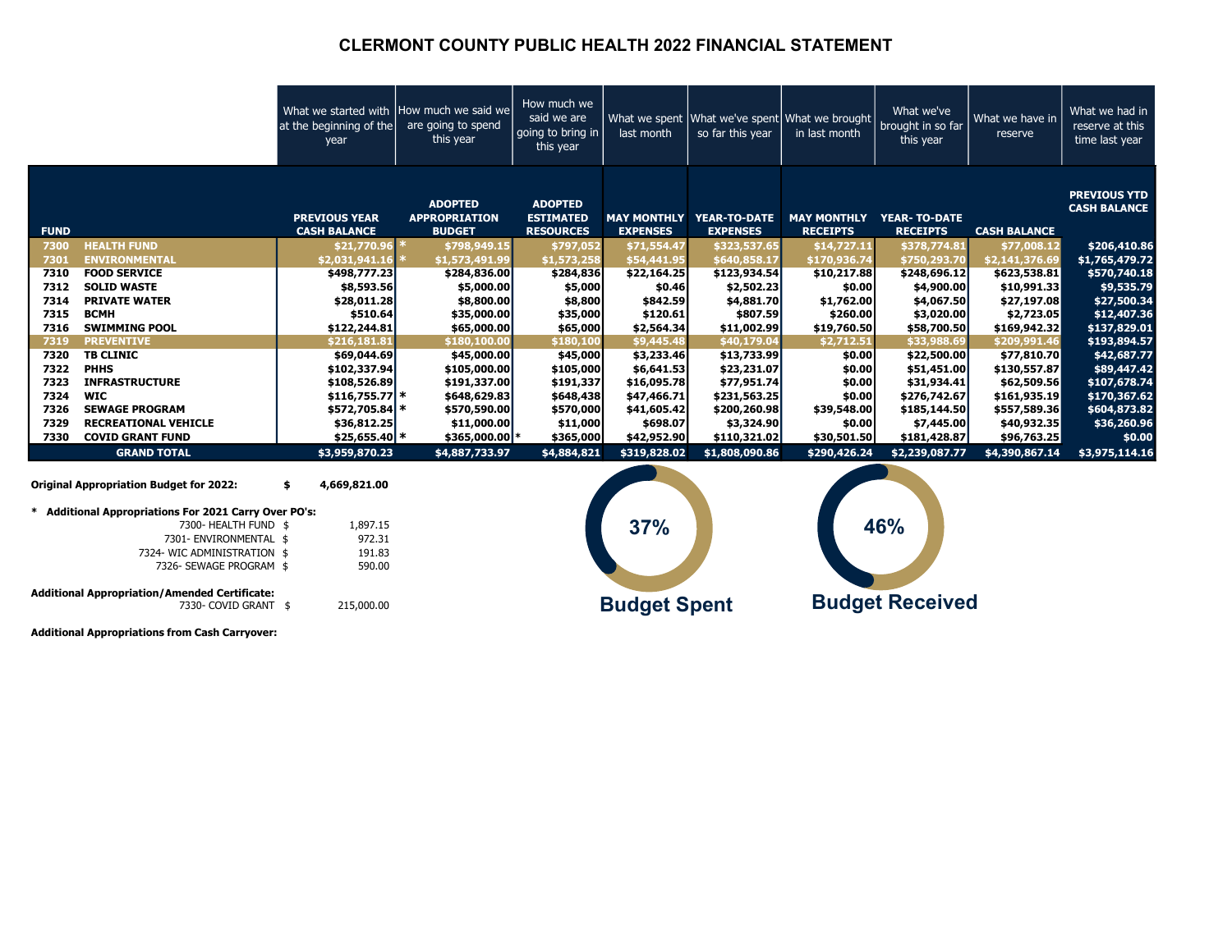#### CLERMONT COUNTY PUBLIC HEALTH 2022 FINANCIAL STATEMENT

|             |                                                                              | What we started with How much we said we<br>at the beginning of the<br>year | are going to spend<br>this year                         | How much we<br>said we are<br>going to bring in<br>this year | last month          | so far this year                            | What we spent What we've spent What we brought<br>in last month | What we've<br>brought in so far<br>this year | What we have in<br>reserve | What we had in<br>reserve at this<br>time last year |
|-------------|------------------------------------------------------------------------------|-----------------------------------------------------------------------------|---------------------------------------------------------|--------------------------------------------------------------|---------------------|---------------------------------------------|-----------------------------------------------------------------|----------------------------------------------|----------------------------|-----------------------------------------------------|
| <b>FUND</b> |                                                                              | <b>PREVIOUS YEAR</b><br><b>CASH BALANCE</b>                                 | <b>ADOPTED</b><br><b>APPROPRIATION</b><br><b>BUDGET</b> | <b>ADOPTED</b><br><b>ESTIMATED</b><br><b>RESOURCES</b>       | <b>EXPENSES</b>     | MAY MONTHLY YEAR-TO-DATE<br><b>EXPENSES</b> | <b>MAY MONTHLY</b><br><b>RECEIPTS</b>                           | <b>YEAR- TO-DATE</b><br><b>RECEIPTS</b>      | <b>CASH BALANCE</b>        | <b>PREVIOUS YTD</b><br><b>CASH BALANCE</b>          |
| 7300        | <b>HEALTH FUND</b>                                                           | $$21,770.96$ *                                                              | \$798,949.15                                            | \$797,052                                                    | \$71,554.47         | \$323,537.65                                | \$14,727.11                                                     | \$378,774.81                                 | \$77,008.12                | \$206,410.86                                        |
| 7301        | <b>ENVIRONMENTAL</b>                                                         | \$2,031,941.16                                                              | \$1,573,491.99                                          | \$1,573,258                                                  | \$54,441.95         | \$640,858.17                                | \$170,936.74                                                    | \$750,293.70                                 | \$2,141,376.69             | \$1,765,479.72                                      |
| 7310        | <b>FOOD SERVICE</b>                                                          | \$498,777.23                                                                | \$284,836.00                                            | \$284,836                                                    | \$22,164.25         | \$123,934.54                                | \$10,217.88                                                     | \$248,696.12                                 | \$623,538.81               | \$570,740.18                                        |
| 7312        | <b>SOLID WASTE</b>                                                           | \$8,593.56                                                                  | \$5,000.00                                              | \$5,000                                                      | \$0.46              | \$2,502.23                                  | \$0.00                                                          | \$4,900.00                                   | \$10,991.33                | \$9,535.79                                          |
| 7314        | <b>PRIVATE WATER</b>                                                         | \$28,011.28                                                                 | \$8,800.00                                              | \$8,800                                                      | \$842.59            | \$4,881.70                                  | \$1,762.00                                                      | \$4,067.50                                   | \$27,197.08                | \$27,500.34                                         |
| 7315        | <b>BCMH</b>                                                                  | \$510.64                                                                    | \$35,000.00                                             | \$35,000                                                     | \$120.61            | \$807.59                                    | \$260.00                                                        | \$3,020.00                                   | \$2,723.05                 | \$12,407.36                                         |
| 7316        | <b>SWIMMING POOL</b>                                                         | \$122,244.81                                                                | \$65,000.00                                             | \$65,000                                                     | \$2,564.34          | \$11,002.99                                 | \$19,760.50                                                     | \$58,700.50                                  | \$169,942.32               | \$137,829.01                                        |
| 7319        | <b>PREVENTIVE</b>                                                            | \$216,181.81                                                                | \$180,100.00                                            | \$180,100                                                    | \$9,445.48          | \$40,179.04                                 | \$2,712.51                                                      | \$33,988.69                                  | \$209,991.46               | \$193,894.57                                        |
| 7320        | <b>TB CLINIC</b>                                                             | \$69,044.69                                                                 | \$45,000.00                                             | \$45,000                                                     | \$3,233.46          | \$13,733.99                                 | \$0.00                                                          | \$22,500.00                                  | \$77,810.70                | \$42,687.77                                         |
| 7322        | <b>PHHS</b>                                                                  | \$102,337.94                                                                | \$105,000.00                                            | \$105,000                                                    | \$6,641.53          | \$23,231.07                                 | \$0.00                                                          | \$51,451.00                                  | \$130,557.87               | \$89,447.42                                         |
| 7323        | <b>INFRASTRUCTURE</b>                                                        | \$108,526.89                                                                | \$191,337.00                                            | \$191,337                                                    | \$16,095.78         | \$77,951.74                                 | \$0.00                                                          | \$31,934.41                                  | \$62,509.56                | \$107,678.74                                        |
| 7324        | <b>WIC</b>                                                                   | $$116,755.77$ *                                                             | \$648,629.83                                            | \$648,438                                                    | \$47,466.71         | \$231,563.25                                | \$0.00                                                          | \$276,742.67                                 | \$161,935.19               | \$170,367.62                                        |
| 7326        | <b>SEWAGE PROGRAM</b>                                                        | \$572,705.84 *                                                              | \$570,590.00                                            | \$570,000                                                    | \$41,605.42         | \$200,260.98                                | \$39,548.00                                                     | \$185,144.50                                 | \$557,589.36               | \$604,873.82                                        |
| 7329        | <b>RECREATIONAL VEHICLE</b>                                                  | \$36,812.25                                                                 | \$11,000.00                                             | \$11,000                                                     | \$698.07            | \$3,324.90                                  | \$0.00                                                          | \$7,445.00                                   | \$40,932.35                | \$36,260.96                                         |
| 7330        | <b>COVID GRANT FUND</b>                                                      | $$25,655.40$ *                                                              | \$365,000.00 *                                          | \$365,000                                                    | \$42,952.90         | \$110,321.02                                | \$30,501.50                                                     | \$181,428.87                                 | \$96,763.25                | \$0.00                                              |
|             | <b>GRAND TOTAL</b>                                                           | \$3,959,870.23                                                              | \$4,887,733.97                                          | \$4,884,821                                                  | \$319,828.02        | \$1,808,090.86                              | \$290,426.24                                                    | \$2,239,087.77                               | \$4,390,867.14             | \$3,975,114.16                                      |
|             | <b>Original Appropriation Budget for 2022:</b>                               | 4,669,821.00<br>\$                                                          |                                                         |                                                              |                     |                                             |                                                                 |                                              |                            |                                                     |
|             | * Additional Appropriations For 2021 Carry Over PO's:                        |                                                                             |                                                         |                                                              |                     |                                             |                                                                 |                                              |                            |                                                     |
|             | 7300- HEALTH FUND \$                                                         | 1,897.15                                                                    |                                                         |                                                              | 37%                 |                                             |                                                                 | 46%                                          |                            |                                                     |
|             | 7301- ENVIRONMENTAL \$                                                       | 972.31                                                                      |                                                         |                                                              |                     |                                             |                                                                 |                                              |                            |                                                     |
|             | 7324- WIC ADMINISTRATION \$                                                  | 191.83                                                                      |                                                         |                                                              |                     |                                             |                                                                 |                                              |                            |                                                     |
|             | 7326- SEWAGE PROGRAM \$                                                      | 590.00                                                                      |                                                         |                                                              |                     |                                             |                                                                 |                                              |                            |                                                     |
|             | <b>Additional Appropriation/Amended Certificate:</b><br>7330- COVID GRANT \$ | 215,000.00                                                                  |                                                         |                                                              | <b>Budget Spent</b> |                                             |                                                                 | <b>Budget Received</b>                       |                            |                                                     |

Additional Appropriations from Cash Carryover: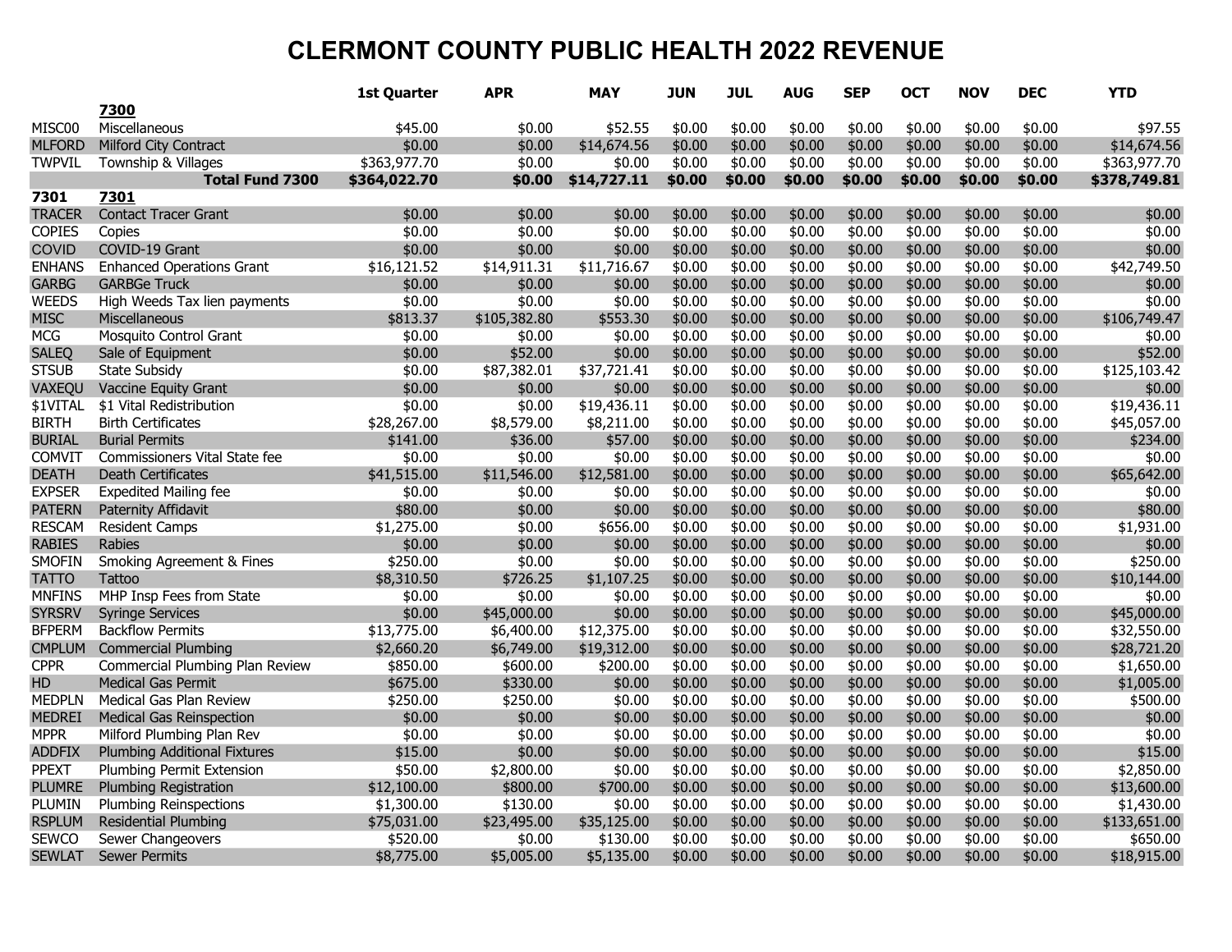|               |                                      | 1st Quarter  | <b>APR</b>   | <b>MAY</b>  | <b>JUN</b> | <b>JUL</b> | <b>AUG</b> | <b>SEP</b> | OCT    | <b>NOV</b> | <b>DEC</b> | <b>YTD</b>   |
|---------------|--------------------------------------|--------------|--------------|-------------|------------|------------|------------|------------|--------|------------|------------|--------------|
|               | 7300                                 |              |              |             |            |            |            |            |        |            |            |              |
| MISC00        | Miscellaneous                        | \$45.00      | \$0.00       | \$52.55     | \$0.00     | \$0.00     | \$0.00     | \$0.00     | \$0.00 | \$0.00     | \$0.00     | \$97.55      |
| <b>MLFORD</b> | <b>Milford City Contract</b>         | \$0.00       | \$0.00       | \$14,674.56 | \$0.00     | \$0.00     | \$0.00     | \$0.00     | \$0.00 | \$0.00     | \$0.00     | \$14,674.56  |
| <b>TWPVIL</b> | Township & Villages                  | \$363,977.70 | \$0.00       | \$0.00      | \$0.00     | \$0.00     | \$0.00     | \$0.00     | \$0.00 | \$0.00     | \$0.00     | \$363,977.70 |
|               | <b>Total Fund 7300</b>               | \$364,022.70 | \$0.00       | \$14,727.11 | \$0.00     | \$0.00     | \$0.00     | \$0.00     | \$0.00 | \$0.00     | \$0.00     | \$378,749.81 |
| 7301          | 7301                                 |              |              |             |            |            |            |            |        |            |            |              |
| <b>TRACER</b> | <b>Contact Tracer Grant</b>          | \$0.00       | \$0.00       | \$0.00      | \$0.00     | \$0.00     | \$0.00     | \$0.00     | \$0.00 | \$0.00     | \$0.00     | \$0.00       |
| <b>COPIES</b> | Copies                               | \$0.00       | \$0.00       | \$0.00      | \$0.00     | \$0.00     | \$0.00     | \$0.00     | \$0.00 | \$0.00     | \$0.00     | \$0.00       |
| <b>COVID</b>  | COVID-19 Grant                       | \$0.00       | \$0.00       | \$0.00      | \$0.00     | \$0.00     | \$0.00     | \$0.00     | \$0.00 | \$0.00     | \$0.00     | \$0.00       |
| <b>ENHANS</b> | <b>Enhanced Operations Grant</b>     | \$16,121.52  | \$14,911.31  | \$11,716.67 | \$0.00     | \$0.00     | \$0.00     | \$0.00     | \$0.00 | \$0.00     | \$0.00     | \$42,749.50  |
| <b>GARBG</b>  | <b>GARBGe Truck</b>                  | \$0.00       | \$0.00       | \$0.00      | \$0.00     | \$0.00     | \$0.00     | \$0.00     | \$0.00 | \$0.00     | \$0.00     | \$0.00       |
| <b>WEEDS</b>  | High Weeds Tax lien payments         | \$0.00       | \$0.00       | \$0.00      | \$0.00     | \$0.00     | \$0.00     | \$0.00     | \$0.00 | \$0.00     | \$0.00     | \$0.00       |
| <b>MISC</b>   | <b>Miscellaneous</b>                 | \$813.37     | \$105,382.80 | \$553.30    | \$0.00     | \$0.00     | \$0.00     | \$0.00     | \$0.00 | \$0.00     | \$0.00     | \$106,749.47 |
| <b>MCG</b>    | Mosquito Control Grant               | \$0.00       | \$0.00       | \$0.00      | \$0.00     | \$0.00     | \$0.00     | \$0.00     | \$0.00 | \$0.00     | \$0.00     | \$0.00       |
| <b>SALEQ</b>  | Sale of Equipment                    | \$0.00       | \$52.00      | \$0.00      | \$0.00     | \$0.00     | \$0.00     | \$0.00     | \$0.00 | \$0.00     | \$0.00     | \$52.00      |
| <b>STSUB</b>  | <b>State Subsidy</b>                 | \$0.00       | \$87,382.01  | \$37,721.41 | \$0.00     | \$0.00     | \$0.00     | \$0.00     | \$0.00 | \$0.00     | \$0.00     | \$125,103.42 |
| VAXEQU        | Vaccine Equity Grant                 | \$0.00       | \$0.00       | \$0.00      | \$0.00     | \$0.00     | \$0.00     | \$0.00     | \$0.00 | \$0.00     | \$0.00     | \$0.00       |
| \$1VITAL      | \$1 Vital Redistribution             | \$0.00       | \$0.00       | \$19,436.11 | \$0.00     | \$0.00     | \$0.00     | \$0.00     | \$0.00 | \$0.00     | \$0.00     | \$19,436.11  |
| <b>BIRTH</b>  | <b>Birth Certificates</b>            | \$28,267.00  | \$8,579.00   | \$8,211.00  | \$0.00     | \$0.00     | \$0.00     | \$0.00     | \$0.00 | \$0.00     | \$0.00     | \$45,057.00  |
| <b>BURIAL</b> | <b>Burial Permits</b>                | \$141.00     | \$36.00      | \$57.00     | \$0.00     | \$0.00     | \$0.00     | \$0.00     | \$0.00 | \$0.00     | \$0.00     | \$234.00     |
| COMVIT        | Commissioners Vital State fee        | \$0.00       | \$0.00       | \$0.00      | \$0.00     | \$0.00     | \$0.00     | \$0.00     | \$0.00 | \$0.00     | \$0.00     | \$0.00       |
| <b>DEATH</b>  | Death Certificates                   | \$41,515.00  | \$11,546.00  | \$12,581.00 | \$0.00     | \$0.00     | \$0.00     | \$0.00     | \$0.00 | \$0.00     | \$0.00     | \$65,642.00  |
| <b>EXPSER</b> | <b>Expedited Mailing fee</b>         | \$0.00       | \$0.00       | \$0.00      | \$0.00     | \$0.00     | \$0.00     | \$0.00     | \$0.00 | \$0.00     | \$0.00     | \$0.00       |
| <b>PATERN</b> | Paternity Affidavit                  | \$80.00      | \$0.00       | \$0.00      | \$0.00     | \$0.00     | \$0.00     | \$0.00     | \$0.00 | \$0.00     | \$0.00     | \$80.00      |
| <b>RESCAM</b> | <b>Resident Camps</b>                | \$1,275.00   | \$0.00       | \$656.00    | \$0.00     | \$0.00     | \$0.00     | \$0.00     | \$0.00 | \$0.00     | \$0.00     | \$1,931.00   |
| <b>RABIES</b> | <b>Rabies</b>                        | \$0.00       | \$0.00       | \$0.00      | \$0.00     | \$0.00     | \$0.00     | \$0.00     | \$0.00 | \$0.00     | \$0.00     | \$0.00       |
| <b>SMOFIN</b> | <b>Smoking Agreement &amp; Fines</b> | \$250.00     | \$0.00       | \$0.00      | \$0.00     | \$0.00     | \$0.00     | \$0.00     | \$0.00 | \$0.00     | \$0.00     | \$250.00     |
| <b>TATTO</b>  | <b>Tattoo</b>                        | \$8,310.50   | \$726.25     | \$1,107.25  | \$0.00     | \$0.00     | \$0.00     | \$0.00     | \$0.00 | \$0.00     | \$0.00     | \$10,144.00  |
| <b>MNFINS</b> | MHP Insp Fees from State             | \$0.00       | \$0.00       | \$0.00      | \$0.00     | \$0.00     | \$0.00     | \$0.00     | \$0.00 | \$0.00     | \$0.00     | \$0.00       |
| <b>SYRSRV</b> | <b>Syringe Services</b>              | \$0.00       | \$45,000.00  | \$0.00      | \$0.00     | \$0.00     | \$0.00     | \$0.00     | \$0.00 | \$0.00     | \$0.00     | \$45,000.00  |
| <b>BFPERM</b> | <b>Backflow Permits</b>              | \$13,775.00  | \$6,400.00   | \$12,375.00 | \$0.00     | \$0.00     | \$0.00     | \$0.00     | \$0.00 | \$0.00     | \$0.00     | \$32,550.00  |
| <b>CMPLUM</b> | <b>Commercial Plumbing</b>           | \$2,660.20   | \$6,749.00   | \$19,312.00 | \$0.00     | \$0.00     | \$0.00     | \$0.00     | \$0.00 | \$0.00     | \$0.00     | \$28,721.20  |
| <b>CPPR</b>   | Commercial Plumbing Plan Review      | \$850.00     | \$600.00     | \$200.00    | \$0.00     | \$0.00     | \$0.00     | \$0.00     | \$0.00 | \$0.00     | \$0.00     | \$1,650.00   |
| HD            | <b>Medical Gas Permit</b>            | \$675.00     | \$330.00     | \$0.00      | \$0.00     | \$0.00     | \$0.00     | \$0.00     | \$0.00 | \$0.00     | \$0.00     | \$1,005.00   |
| <b>MEDPLN</b> | Medical Gas Plan Review              | \$250.00     | \$250.00     | \$0.00      | \$0.00     | \$0.00     | \$0.00     | \$0.00     | \$0.00 | \$0.00     | \$0.00     | \$500.00     |
| <b>MEDREI</b> | <b>Medical Gas Reinspection</b>      | \$0.00       | \$0.00       | \$0.00      | \$0.00     | \$0.00     | \$0.00     | \$0.00     | \$0.00 | \$0.00     | \$0.00     | \$0.00       |
| <b>MPPR</b>   | Milford Plumbing Plan Rev            | \$0.00       | \$0.00       | \$0.00      | \$0.00     | \$0.00     | \$0.00     | \$0.00     | \$0.00 | \$0.00     | \$0.00     | \$0.00       |
| <b>ADDFIX</b> | <b>Plumbing Additional Fixtures</b>  | \$15.00      | \$0.00       | \$0.00      | \$0.00     | \$0.00     | \$0.00     | \$0.00     | \$0.00 | \$0.00     | \$0.00     | \$15.00      |
| <b>PPEXT</b>  | Plumbing Permit Extension            | \$50.00      | \$2,800.00   | \$0.00      | \$0.00     | \$0.00     | \$0.00     | \$0.00     | \$0.00 | \$0.00     | \$0.00     | \$2,850.00   |
| <b>PLUMRE</b> | <b>Plumbing Registration</b>         | \$12,100.00  | \$800.00     | \$700.00    | \$0.00     | \$0.00     | \$0.00     | \$0.00     | \$0.00 | \$0.00     | \$0.00     | \$13,600.00  |
| PLUMIN        | <b>Plumbing Reinspections</b>        | \$1,300.00   | \$130.00     | \$0.00      | \$0.00     | \$0.00     | \$0.00     | \$0.00     | \$0.00 | \$0.00     | \$0.00     | \$1,430.00   |
| <b>RSPLUM</b> | <b>Residential Plumbing</b>          | \$75,031.00  | \$23,495.00  | \$35,125.00 | \$0.00     | \$0.00     | \$0.00     | \$0.00     | \$0.00 | \$0.00     | \$0.00     | \$133,651.00 |
| SEWCO         | Sewer Changeovers                    | \$520.00     | \$0.00       | \$130.00    | \$0.00     | \$0.00     | \$0.00     | \$0.00     | \$0.00 | \$0.00     | \$0.00     | \$650.00     |
| <b>SEWLAT</b> | <b>Sewer Permits</b>                 | \$8,775.00   | \$5,005.00   | \$5,135.00  | \$0.00     | \$0.00     | \$0.00     | \$0.00     | \$0.00 | \$0.00     | \$0.00     | \$18,915.00  |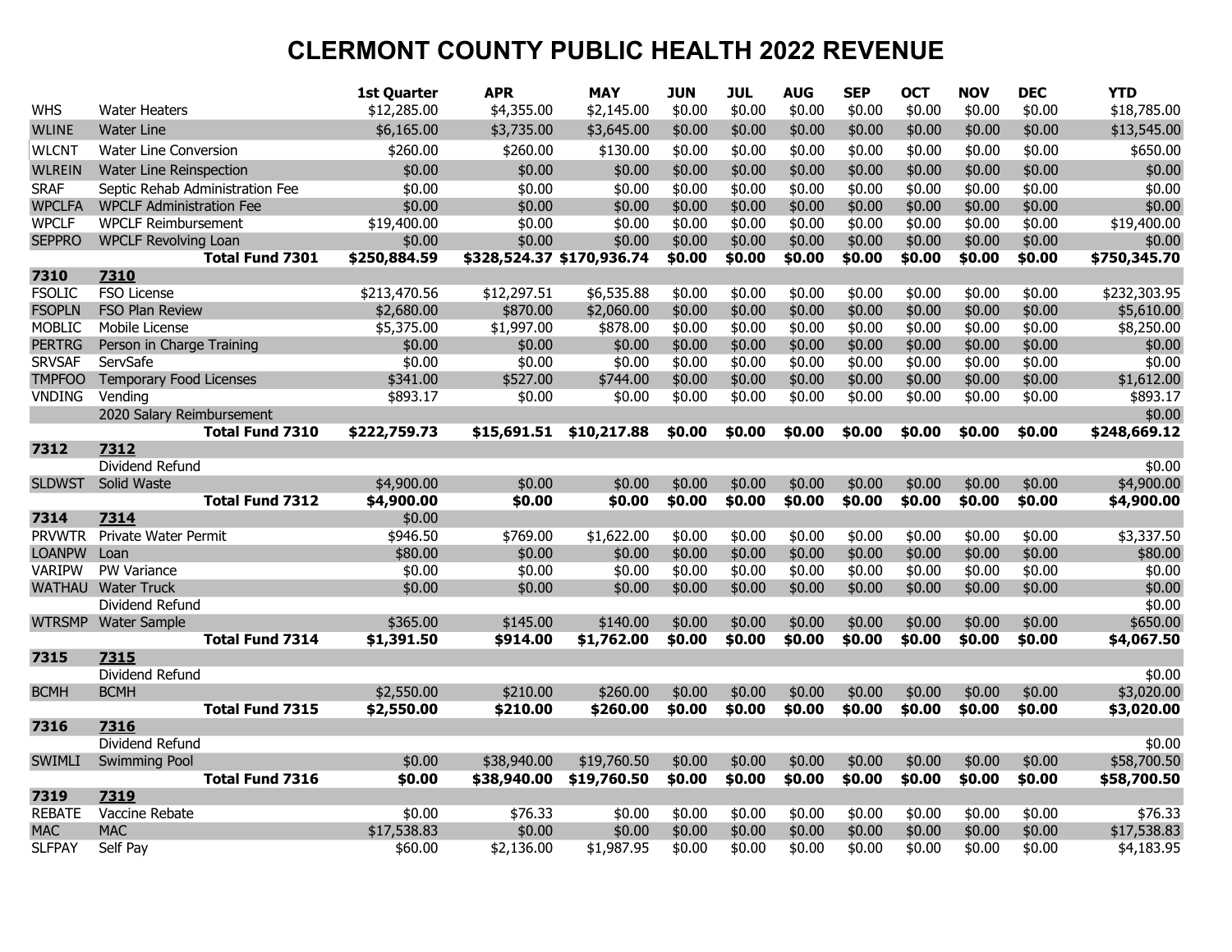|               |                                                     | <b>1st Quarter</b> | <b>APR</b>                | <b>MAY</b>  | <b>JUN</b> | <b>JUL</b> | <b>AUG</b> | <b>SEP</b> | <b>OCT</b> | <b>NOV</b> | <b>DEC</b> | <b>YTD</b>             |
|---------------|-----------------------------------------------------|--------------------|---------------------------|-------------|------------|------------|------------|------------|------------|------------|------------|------------------------|
| WHS           | <b>Water Heaters</b>                                | \$12,285.00        | \$4,355.00                | \$2,145.00  | \$0.00     | \$0.00     | \$0.00     | \$0.00     | \$0.00     | \$0.00     | \$0.00     | \$18,785.00            |
| <b>WLINE</b>  | <b>Water Line</b>                                   | \$6,165.00         | \$3,735.00                | \$3,645.00  | \$0.00     | \$0.00     | \$0.00     | \$0.00     | \$0.00     | \$0.00     | \$0.00     | \$13,545.00            |
| WLCNT         | Water Line Conversion                               | \$260.00           | \$260.00                  | \$130.00    | \$0.00     | \$0.00     | \$0.00     | \$0.00     | \$0.00     | \$0.00     | \$0.00     | \$650.00               |
| <b>WLREIN</b> | Water Line Reinspection                             | \$0.00             | \$0.00                    | \$0.00      | \$0.00     | \$0.00     | \$0.00     | \$0.00     | \$0.00     | \$0.00     | \$0.00     | \$0.00                 |
| <b>SRAF</b>   | Septic Rehab Administration Fee                     | \$0.00             | \$0.00                    | \$0.00      | \$0.00     | \$0.00     | \$0.00     | \$0.00     | \$0.00     | \$0.00     | \$0.00     | \$0.00                 |
| <b>WPCLFA</b> | <b>WPCLF Administration Fee</b>                     | \$0.00             | \$0.00                    | \$0.00      | \$0.00     | \$0.00     | \$0.00     | \$0.00     | \$0.00     | \$0.00     | \$0.00     | \$0.00                 |
| WPCLF         | <b>WPCLF Reimbursement</b>                          | \$19,400.00        | \$0.00                    | \$0.00      | \$0.00     | \$0.00     | \$0.00     | \$0.00     | \$0.00     | \$0.00     | \$0.00     | \$19,400.00            |
| <b>SEPPRO</b> | <b>WPCLF Revolving Loan</b>                         | \$0.00             | \$0.00                    | \$0.00      | \$0.00     | \$0.00     | \$0.00     | \$0.00     | \$0.00     | \$0.00     | \$0.00     | \$0.00                 |
|               | <b>Total Fund 7301</b>                              | \$250,884.59       | \$328,524.37 \$170,936.74 |             | \$0.00     | \$0.00     | \$0.00     | \$0.00     | \$0.00     | \$0.00     | \$0.00     | \$750,345.70           |
| 7310          | 7310                                                |                    |                           |             |            |            |            |            |            |            |            |                        |
| <b>FSOLIC</b> | <b>FSO License</b>                                  | \$213,470.56       | \$12,297.51               | \$6,535.88  | \$0.00     | \$0.00     | \$0.00     | \$0.00     | \$0.00     | \$0.00     | \$0.00     | \$232,303.95           |
| <b>FSOPLN</b> | <b>FSO Plan Review</b>                              | \$2,680.00         | \$870.00                  | \$2,060.00  | \$0.00     | \$0.00     | \$0.00     | \$0.00     | \$0.00     | \$0.00     | \$0.00     | \$5,610.00             |
| <b>MOBLIC</b> | Mobile License                                      | \$5,375.00         | \$1,997.00                | \$878.00    | \$0.00     | \$0.00     | \$0.00     | \$0.00     | \$0.00     | \$0.00     | \$0.00     | \$8,250.00             |
| <b>PERTRG</b> | Person in Charge Training                           | \$0.00             | \$0.00                    | \$0.00      | \$0.00     | \$0.00     | \$0.00     | \$0.00     | \$0.00     | \$0.00     | \$0.00     | \$0.00                 |
| <b>SRVSAF</b> | ServSafe                                            | \$0.00             | \$0.00                    | \$0.00      | \$0.00     | \$0.00     | \$0.00     | \$0.00     | \$0.00     | \$0.00     | \$0.00     | \$0.00                 |
| <b>TMPFOO</b> | <b>Temporary Food Licenses</b>                      | \$341.00           | \$527.00                  | \$744.00    | \$0.00     | \$0.00     | \$0.00     | \$0.00     | \$0.00     | \$0.00     | \$0.00     | \$1,612.00             |
| <b>VNDING</b> | Vending                                             | \$893.17           | \$0.00                    | \$0.00      | \$0.00     | \$0.00     | \$0.00     | \$0.00     | \$0.00     | \$0.00     | \$0.00     | \$893.17               |
|               | 2020 Salary Reimbursement<br><b>Total Fund 7310</b> | \$222,759.73       | \$15,691.51               | \$10,217.88 | \$0.00     | \$0.00     | \$0.00     | \$0.00     | \$0.00     | \$0.00     | \$0.00     | \$0.00<br>\$248,669.12 |
| 7312          | 7312                                                |                    |                           |             |            |            |            |            |            |            |            |                        |
|               | Dividend Refund                                     |                    |                           |             |            |            |            |            |            |            |            | \$0.00                 |
| <b>SLDWST</b> | Solid Waste                                         | \$4,900.00         | \$0.00                    | \$0.00      | \$0.00     | \$0.00     | \$0.00     | \$0.00     | \$0.00     | \$0.00     | \$0.00     | \$4,900.00             |
|               | <b>Total Fund 7312</b>                              | \$4,900.00         | \$0.00                    | \$0.00      | \$0.00     | \$0.00     | \$0.00     | \$0.00     | \$0.00     | \$0.00     | \$0.00     | \$4,900.00             |
| 7314          | 7314                                                | \$0.00             |                           |             |            |            |            |            |            |            |            |                        |
| <b>PRVWTR</b> | <b>Private Water Permit</b>                         | \$946.50           | \$769.00                  | \$1,622.00  | \$0.00     | \$0.00     | \$0.00     | \$0.00     | \$0.00     | \$0.00     | \$0.00     | \$3,337.50             |
| <b>LOANPW</b> | Loan                                                | \$80.00            | \$0.00                    | \$0.00      | \$0.00     | \$0.00     | \$0.00     | \$0.00     | \$0.00     | \$0.00     | \$0.00     | \$80.00                |
| <b>VARIPW</b> | <b>PW Variance</b>                                  | \$0.00             | \$0.00                    | \$0.00      | \$0.00     | \$0.00     | \$0.00     | \$0.00     | \$0.00     | \$0.00     | \$0.00     | \$0.00                 |
| <b>WATHAU</b> | <b>Water Truck</b>                                  | \$0.00             | \$0.00                    | \$0.00      | \$0.00     | \$0.00     | \$0.00     | \$0.00     | \$0.00     | \$0.00     | \$0.00     | \$0.00                 |
|               | Dividend Refund                                     |                    |                           |             |            |            |            |            |            |            |            | \$0.00                 |
| <b>WTRSMP</b> | <b>Water Sample</b>                                 | \$365.00           | \$145.00                  | \$140.00    | \$0.00     | \$0.00     | \$0.00     | \$0.00     | \$0.00     | \$0.00     | \$0.00     | \$650.00               |
|               | <b>Total Fund 7314</b>                              | \$1,391.50         | \$914.00                  | \$1,762.00  | \$0.00     | \$0.00     | \$0.00     | \$0.00     | \$0.00     | \$0.00     | \$0.00     | \$4,067.50             |
| 7315          | 7315                                                |                    |                           |             |            |            |            |            |            |            |            |                        |
|               | Dividend Refund                                     |                    |                           |             |            |            |            |            |            |            |            | \$0.00                 |
| <b>BCMH</b>   | <b>BCMH</b>                                         | \$2,550.00         | \$210.00                  | \$260.00    | \$0.00     | \$0.00     | \$0.00     | \$0.00     | \$0.00     | \$0.00     | \$0.00     | \$3,020.00             |
|               | <b>Total Fund 7315</b>                              | \$2,550.00         | \$210.00                  | \$260.00    | \$0.00     | \$0.00     | \$0.00     | \$0.00     | \$0.00     | \$0.00     | \$0.00     | \$3,020.00             |
| 7316          | 7316                                                |                    |                           |             |            |            |            |            |            |            |            |                        |
| SWIMLI        | Dividend Refund                                     | \$0.00             | \$38,940.00               | \$19,760.50 | \$0.00     | \$0.00     | \$0.00     | \$0.00     | \$0.00     | \$0.00     | \$0.00     | \$0.00<br>\$58,700.50  |
|               | <b>Swimming Pool</b><br><b>Total Fund 7316</b>      | \$0.00             | \$38,940.00               | \$19,760.50 | \$0.00     | \$0.00     | \$0.00     | \$0.00     | \$0.00     | \$0.00     | \$0.00     | \$58,700.50            |
| 7319          | 7319                                                |                    |                           |             |            |            |            |            |            |            |            |                        |
| <b>REBATE</b> | Vaccine Rebate                                      | \$0.00             | \$76.33                   | \$0.00      | \$0.00     | \$0.00     | \$0.00     | \$0.00     | \$0.00     | \$0.00     | \$0.00     | \$76.33                |
| <b>MAC</b>    | <b>MAC</b>                                          | \$17,538.83        | \$0.00                    | \$0.00      | \$0.00     | \$0.00     | \$0.00     | \$0.00     | \$0.00     | \$0.00     | \$0.00     | \$17,538.83            |
| <b>SLFPAY</b> | Self Pay                                            | \$60.00            | \$2,136.00                | \$1,987.95  | \$0.00     | \$0.00     | \$0.00     | \$0.00     | \$0.00     | \$0.00     | \$0.00     | \$4,183.95             |
|               |                                                     |                    |                           |             |            |            |            |            |            |            |            |                        |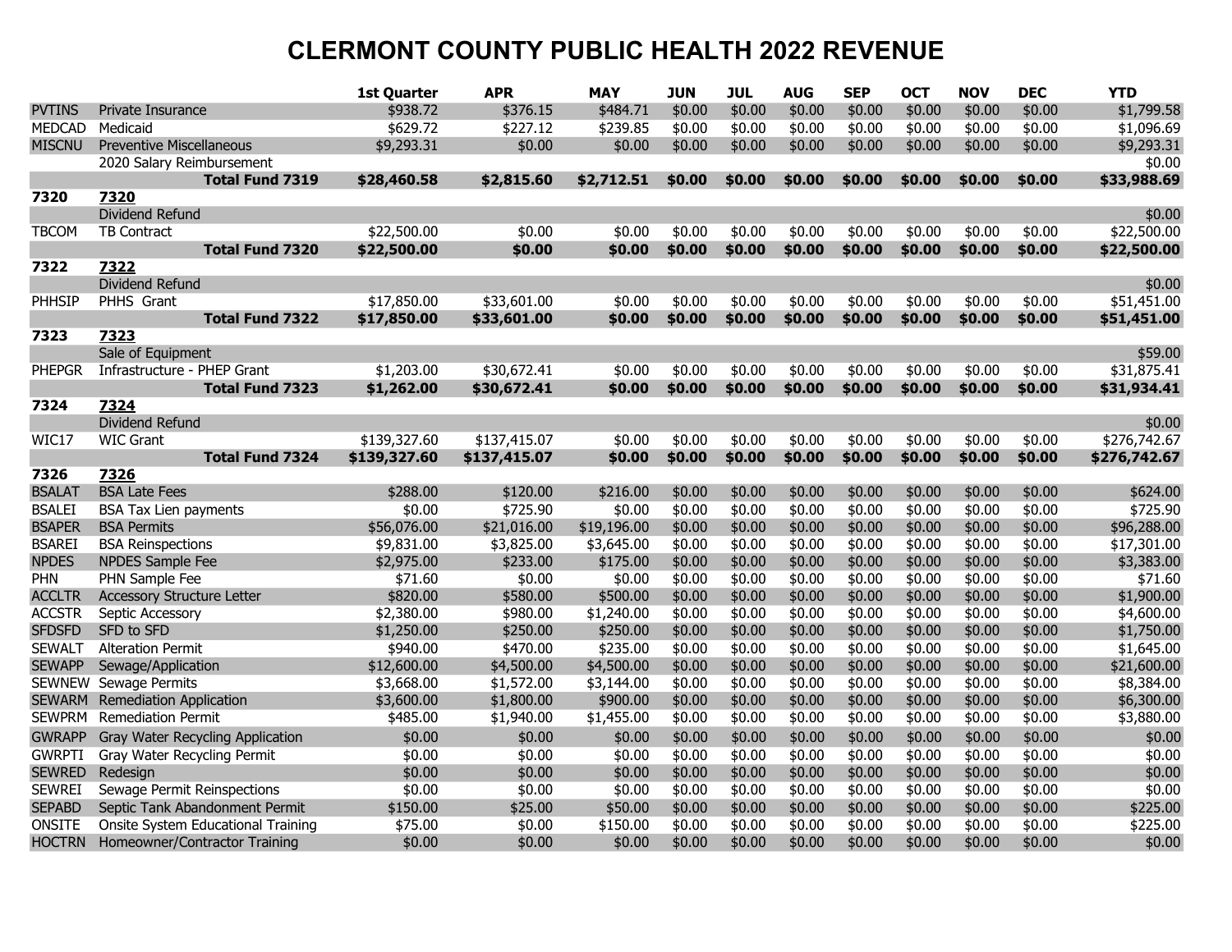|               |                                    | 1st Quarter  | <b>APR</b>   | <b>MAY</b>  | <b>JUN</b> | JUL    | <b>AUG</b> | <b>SEP</b> | <b>OCT</b> | <b>NOV</b> | <b>DEC</b> | <b>YTD</b>   |
|---------------|------------------------------------|--------------|--------------|-------------|------------|--------|------------|------------|------------|------------|------------|--------------|
| <b>PVTINS</b> | Private Insurance                  | \$938.72     | \$376.15     | \$484.71    | \$0.00     | \$0.00 | \$0.00     | \$0.00     | \$0.00     | \$0.00     | \$0.00     | \$1,799.58   |
| <b>MEDCAD</b> | Medicaid                           | \$629.72     | \$227.12     | \$239.85    | \$0.00     | \$0.00 | \$0.00     | \$0.00     | \$0.00     | \$0.00     | \$0.00     | \$1,096.69   |
| <b>MISCNU</b> | <b>Preventive Miscellaneous</b>    | \$9,293.31   | \$0.00       | \$0.00      | \$0.00     | \$0.00 | \$0.00     | \$0.00     | \$0.00     | \$0.00     | \$0.00     | \$9,293.31   |
|               | 2020 Salary Reimbursement          |              |              |             |            |        |            |            |            |            |            | \$0.00       |
|               | Total Fund 7319                    | \$28,460.58  | \$2,815.60   | \$2,712.51  | \$0.00     | \$0.00 | \$0.00     | \$0.00     | \$0.00     | \$0.00     | \$0.00     | \$33,988.69  |
| 7320          | 7320                               |              |              |             |            |        |            |            |            |            |            |              |
|               | Dividend Refund                    |              |              |             |            |        |            |            |            |            |            | \$0.00       |
| <b>TBCOM</b>  | <b>TB Contract</b>                 | \$22,500.00  | \$0.00       | \$0.00      | \$0.00     | \$0.00 | \$0.00     | \$0.00     | \$0.00     | \$0.00     | \$0.00     | \$22,500.00  |
|               | <b>Total Fund 7320</b>             | \$22,500.00  | \$0.00       | \$0.00      | \$0.00     | \$0.00 | \$0.00     | \$0.00     | \$0.00     | \$0.00     | \$0.00     | \$22,500.00  |
| 7322          | 7322                               |              |              |             |            |        |            |            |            |            |            |              |
|               | Dividend Refund                    |              |              |             |            |        |            |            |            |            |            | \$0.00       |
| PHHSIP        | PHHS Grant                         | \$17,850.00  | \$33,601.00  | \$0.00      | \$0.00     | \$0.00 | \$0.00     | \$0.00     | \$0.00     | \$0.00     | \$0.00     | \$51,451.00  |
|               | <b>Total Fund 7322</b>             | \$17,850.00  | \$33,601.00  | \$0.00      | \$0.00     | \$0.00 | \$0.00     | \$0.00     | \$0.00     | \$0.00     | \$0.00     | \$51,451.00  |
| 7323          | 7323                               |              |              |             |            |        |            |            |            |            |            |              |
|               | Sale of Equipment                  |              |              |             |            |        |            |            |            |            |            | \$59.00      |
| <b>PHEPGR</b> | Infrastructure - PHEP Grant        | \$1,203.00   | \$30,672.41  | \$0.00      | \$0.00     | \$0.00 | \$0.00     | \$0.00     | \$0.00     | \$0.00     | \$0.00     | \$31,875.41  |
|               | Total Fund 7323                    | \$1,262.00   | \$30,672.41  | \$0.00      | \$0.00     | \$0.00 | \$0.00     | \$0.00     | \$0.00     | \$0.00     | \$0.00     | \$31,934.41  |
| 7324          | 7324                               |              |              |             |            |        |            |            |            |            |            |              |
|               | Dividend Refund                    |              |              |             |            |        |            |            |            |            |            | \$0.00       |
| WIC17         | <b>WIC Grant</b>                   | \$139,327.60 | \$137,415.07 | \$0.00      | \$0.00     | \$0.00 | \$0.00     | \$0.00     | \$0.00     | \$0.00     | \$0.00     | \$276,742.67 |
|               | <b>Total Fund 7324</b>             | \$139,327.60 | \$137,415.07 | \$0.00      | \$0.00     | \$0.00 | \$0.00     | \$0.00     | \$0.00     | \$0.00     | \$0.00     | \$276,742.67 |
| 7326          | 7326                               |              |              |             |            |        |            |            |            |            |            |              |
| <b>BSALAT</b> | <b>BSA Late Fees</b>               | \$288.00     | \$120.00     | \$216.00    | \$0.00     | \$0.00 | \$0.00     | \$0.00     | \$0.00     | \$0.00     | \$0.00     | \$624.00     |
| <b>BSALEI</b> | <b>BSA Tax Lien payments</b>       | \$0.00       | \$725.90     | \$0.00      | \$0.00     | \$0.00 | \$0.00     | \$0.00     | \$0.00     | \$0.00     | \$0.00     | \$725.90     |
| <b>BSAPER</b> | <b>BSA Permits</b>                 | \$56,076.00  | \$21,016.00  | \$19,196.00 | \$0.00     | \$0.00 | \$0.00     | \$0.00     | \$0.00     | \$0.00     | \$0.00     | \$96,288.00  |
| <b>BSAREI</b> | <b>BSA</b> Reinspections           | \$9,831.00   | \$3,825.00   | \$3,645.00  | \$0.00     | \$0.00 | \$0.00     | \$0.00     | \$0.00     | \$0.00     | \$0.00     | \$17,301.00  |
| <b>NPDES</b>  | NPDES Sample Fee                   | \$2,975.00   | \$233.00     | \$175.00    | \$0.00     | \$0.00 | \$0.00     | \$0.00     | \$0.00     | \$0.00     | \$0.00     | \$3,383.00   |
| PHN           | PHN Sample Fee                     | \$71.60      | \$0.00       | \$0.00      | \$0.00     | \$0.00 | \$0.00     | \$0.00     | \$0.00     | \$0.00     | \$0.00     | \$71.60      |
| <b>ACCLTR</b> | <b>Accessory Structure Letter</b>  | \$820.00     | \$580.00     | \$500.00    | \$0.00     | \$0.00 | \$0.00     | \$0.00     | \$0.00     | \$0.00     | \$0.00     | \$1,900.00   |
| <b>ACCSTR</b> | Septic Accessory                   | \$2,380.00   | \$980.00     | \$1,240.00  | \$0.00     | \$0.00 | \$0.00     | \$0.00     | \$0.00     | \$0.00     | \$0.00     | \$4,600.00   |
| <b>SFDSFD</b> | SFD to SFD                         | \$1,250.00   | \$250.00     | \$250.00    | \$0.00     | \$0.00 | \$0.00     | \$0.00     | \$0.00     | \$0.00     | \$0.00     | \$1,750.00   |
| <b>SEWALT</b> | <b>Alteration Permit</b>           | \$940.00     | \$470.00     | \$235.00    | \$0.00     | \$0.00 | \$0.00     | \$0.00     | \$0.00     | \$0.00     | \$0.00     | \$1,645.00   |
| <b>SEWAPP</b> | Sewage/Application                 | \$12,600.00  | \$4,500.00   | \$4,500.00  | \$0.00     | \$0.00 | \$0.00     | \$0.00     | \$0.00     | \$0.00     | \$0.00     | \$21,600.00  |
| <b>SEWNEW</b> | Sewage Permits                     | \$3,668.00   | \$1,572.00   | \$3,144.00  | \$0.00     | \$0.00 | \$0.00     | \$0.00     | \$0.00     | \$0.00     | \$0.00     | \$8,384.00   |
| <b>SEWARM</b> | <b>Remediation Application</b>     | \$3,600.00   | \$1,800.00   | \$900.00    | \$0.00     | \$0.00 | \$0.00     | \$0.00     | \$0.00     | \$0.00     | \$0.00     | \$6,300.00   |
| <b>SEWPRM</b> | <b>Remediation Permit</b>          | \$485.00     | \$1,940.00   | \$1,455.00  | \$0.00     | \$0.00 | \$0.00     | \$0.00     | \$0.00     | \$0.00     | \$0.00     | \$3,880.00   |
| <b>GWRAPP</b> | Gray Water Recycling Application   | \$0.00       | \$0.00       | \$0.00      | \$0.00     | \$0.00 | \$0.00     | \$0.00     | \$0.00     | \$0.00     | \$0.00     | \$0.00       |
| <b>GWRPTI</b> | Gray Water Recycling Permit        | \$0.00       | \$0.00       | \$0.00      | \$0.00     | \$0.00 | \$0.00     | \$0.00     | \$0.00     | \$0.00     | \$0.00     | \$0.00       |
| <b>SEWRED</b> | Redesian                           | \$0.00       | \$0.00       | \$0.00      | \$0.00     | \$0.00 | \$0.00     | \$0.00     | \$0.00     | \$0.00     | \$0.00     | \$0.00       |
| <b>SEWREI</b> | Sewage Permit Reinspections        | \$0.00       | \$0.00       | \$0.00      | \$0.00     | \$0.00 | \$0.00     | \$0.00     | \$0.00     | \$0.00     | \$0.00     | \$0.00       |
| <b>SEPABD</b> | Septic Tank Abandonment Permit     | \$150.00     | \$25.00      | \$50.00     | \$0.00     | \$0.00 | \$0.00     | \$0.00     | \$0.00     | \$0.00     | \$0.00     | \$225.00     |
| ONSITE        | Onsite System Educational Training | \$75.00      | \$0.00       | \$150.00    | \$0.00     | \$0.00 | \$0.00     | \$0.00     | \$0.00     | \$0.00     | \$0.00     | \$225.00     |
| <b>HOCTRN</b> | Homeowner/Contractor Training      | \$0.00       | \$0.00       | \$0.00      | \$0.00     | \$0.00 | \$0.00     | \$0.00     | \$0.00     | \$0.00     | \$0.00     | \$0.00       |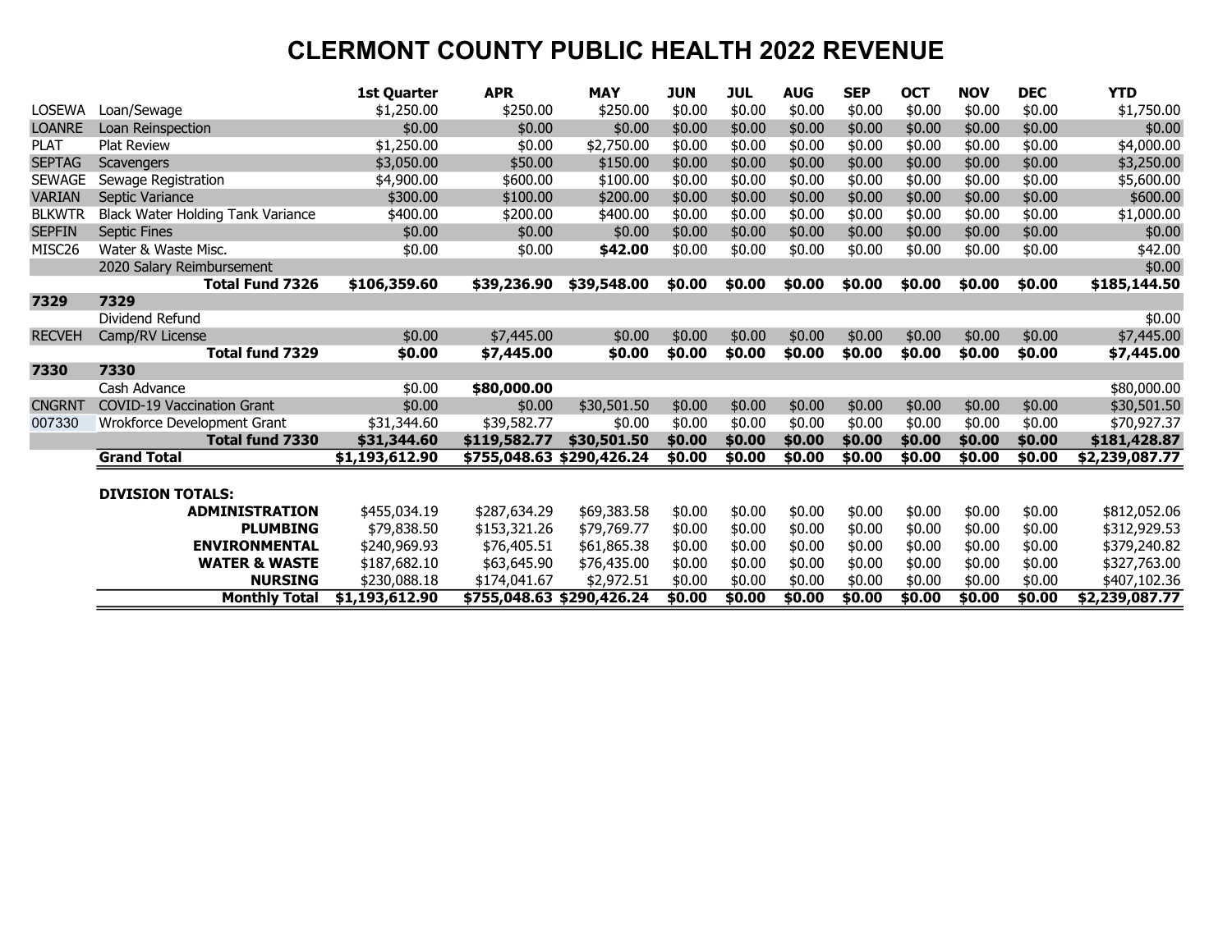|                    |                                   | <b>1st Quarter</b>             | <b>APR</b>                | <b>MAY</b>  | <b>JUN</b> | <b>JUL</b> | <b>AUG</b> | <b>SEP</b> | <b>OCT</b> | <b>NOV</b> | <b>DEC</b> | <b>YTD</b>                     |
|--------------------|-----------------------------------|--------------------------------|---------------------------|-------------|------------|------------|------------|------------|------------|------------|------------|--------------------------------|
| LOSEWA             | Loan/Sewage                       | \$1,250.00                     | \$250.00                  | \$250.00    | \$0.00     | \$0.00     | \$0.00     | \$0.00     | \$0.00     | \$0.00     | \$0.00     | \$1,750.00                     |
| <b>LOANRE</b>      | Loan Reinspection                 | \$0.00                         | \$0.00                    | \$0.00      | \$0.00     | \$0.00     | \$0.00     | \$0.00     | \$0.00     | \$0.00     | \$0.00     | \$0.00                         |
| <b>PLAT</b>        | <b>Plat Review</b>                | \$1,250.00                     | \$0.00                    | \$2,750.00  | \$0.00     | \$0.00     | \$0.00     | \$0.00     | \$0.00     | \$0.00     | \$0.00     | \$4,000.00                     |
| <b>SEPTAG</b>      | Scavengers                        | \$3,050.00                     | \$50.00                   | \$150.00    | \$0.00     | \$0.00     | \$0.00     | \$0.00     | \$0.00     | \$0.00     | \$0.00     | \$3,250.00                     |
| <b>SEWAGE</b>      | Sewage Registration               | \$4,900.00                     | \$600.00                  | \$100.00    | \$0.00     | \$0.00     | \$0.00     | \$0.00     | \$0.00     | \$0.00     | \$0.00     | \$5,600.00                     |
| <b>VARIAN</b>      | Septic Variance                   | \$300.00                       | \$100.00                  | \$200.00    | \$0.00     | \$0.00     | \$0.00     | \$0.00     | \$0.00     | \$0.00     | \$0.00     | \$600.00                       |
| <b>BLKWTR</b>      | Black Water Holding Tank Variance | \$400.00                       | \$200.00                  | \$400.00    | \$0.00     | \$0.00     | \$0.00     | \$0.00     | \$0.00     | \$0.00     | \$0.00     | \$1,000.00                     |
| <b>SEPFIN</b>      | <b>Septic Fines</b>               | \$0.00                         | \$0.00                    | \$0.00      | \$0.00     | \$0.00     | \$0.00     | \$0.00     | \$0.00     | \$0.00     | \$0.00     | \$0.00                         |
| MISC <sub>26</sub> | Water & Waste Misc.               | \$0.00                         | \$0.00                    | \$42.00     | \$0.00     | \$0.00     | \$0.00     | \$0.00     | \$0.00     | \$0.00     | \$0.00     | \$42.00                        |
|                    | 2020 Salary Reimbursement         |                                |                           |             |            |            |            |            |            |            |            | \$0.00                         |
|                    | <b>Total Fund 7326</b>            | \$106,359.60                   | \$39,236.90               | \$39,548.00 | \$0.00     | \$0.00     | \$0.00     | \$0.00     | \$0.00     | \$0.00     | \$0.00     | \$185,144.50                   |
| 7329               | 7329                              |                                |                           |             |            |            |            |            |            |            |            |                                |
|                    | Dividend Refund                   |                                |                           |             |            |            |            |            |            |            |            | \$0.00                         |
| <b>RECVEH</b>      | Camp/RV License                   | \$0.00                         | \$7,445.00                | \$0.00      | \$0.00     | \$0.00     | \$0.00     | \$0.00     | \$0.00     | \$0.00     | \$0.00     | \$7,445.00                     |
|                    | Total fund 7329                   | \$0.00                         | \$7,445.00                | \$0.00      | \$0.00     | \$0.00     | \$0.00     | \$0.00     | \$0.00     | \$0.00     | \$0.00     | \$7,445.00                     |
| 7330               | 7330                              |                                |                           |             |            |            |            |            |            |            |            |                                |
|                    | Cash Advance                      | \$0.00                         | \$80,000.00               |             |            |            |            |            |            |            |            | \$80,000.00                    |
| <b>CNGRNT</b>      | <b>COVID-19 Vaccination Grant</b> | \$0.00                         | \$0.00                    | \$30,501.50 | \$0.00     | \$0.00     | \$0.00     | \$0.00     | \$0.00     | \$0.00     | \$0.00     | \$30,501.50                    |
| 007330             | Wrokforce Development Grant       | \$31,344.60                    | \$39,582.77               | \$0.00      | \$0.00     | \$0.00     | \$0.00     | \$0.00     | \$0.00     | \$0.00     | \$0.00     | \$70,927.37                    |
|                    | <b>Total fund 7330</b>            | \$31,344.60                    | \$119,582.77              | \$30,501.50 | \$0.00     | \$0.00     | \$0.00     | \$0.00     | \$0.00     | \$0.00     | \$0.00     | \$181,428.87                   |
|                    | <b>Grand Total</b>                | \$1,193,612.90                 | \$755,048.63 \$290,426.24 |             | \$0.00     | \$0.00     | \$0.00     | \$0.00     | \$0.00     | \$0.00     | \$0.00     | \$2,239,087.77                 |
|                    |                                   |                                |                           |             |            |            |            |            |            |            |            |                                |
|                    | <b>DIVISION TOTALS:</b>           |                                |                           |             |            |            |            |            |            |            |            |                                |
|                    | <b>ADMINISTRATION</b>             | \$455,034.19                   | \$287,634.29              | \$69,383.58 | \$0.00     | \$0.00     | \$0.00     | \$0.00     | \$0.00     | \$0.00     | \$0.00     | \$812,052.06                   |
|                    | <b>PLUMBING</b>                   | \$79,838.50                    | \$153,321.26              | \$79,769.77 | \$0.00     | \$0.00     | \$0.00     | \$0.00     | \$0.00     | \$0.00     | \$0.00     | \$312,929.53                   |
|                    |                                   |                                |                           |             |            |            |            |            |            |            |            |                                |
|                    | <b>ENVIRONMENTAL</b>              | \$240,969.93                   | \$76,405.51               | \$61,865.38 | \$0.00     | \$0.00     | \$0.00     | \$0.00     | \$0.00     | \$0.00     | \$0.00     | \$379,240.82                   |
|                    | <b>WATER &amp; WASTE</b>          | \$187,682.10                   | \$63,645.90               | \$76,435.00 | \$0.00     | \$0.00     | \$0.00     | \$0.00     | \$0.00     | \$0.00     | \$0.00     | \$327,763.00                   |
|                    | <b>NURSING</b>                    | \$230,088.18<br>\$1,193,612.90 | \$174,041.67              | \$2,972.51  | \$0.00     | \$0.00     | \$0.00     | \$0.00     | \$0.00     | \$0.00     | \$0.00     | \$407,102.36<br>\$2,239,087.77 |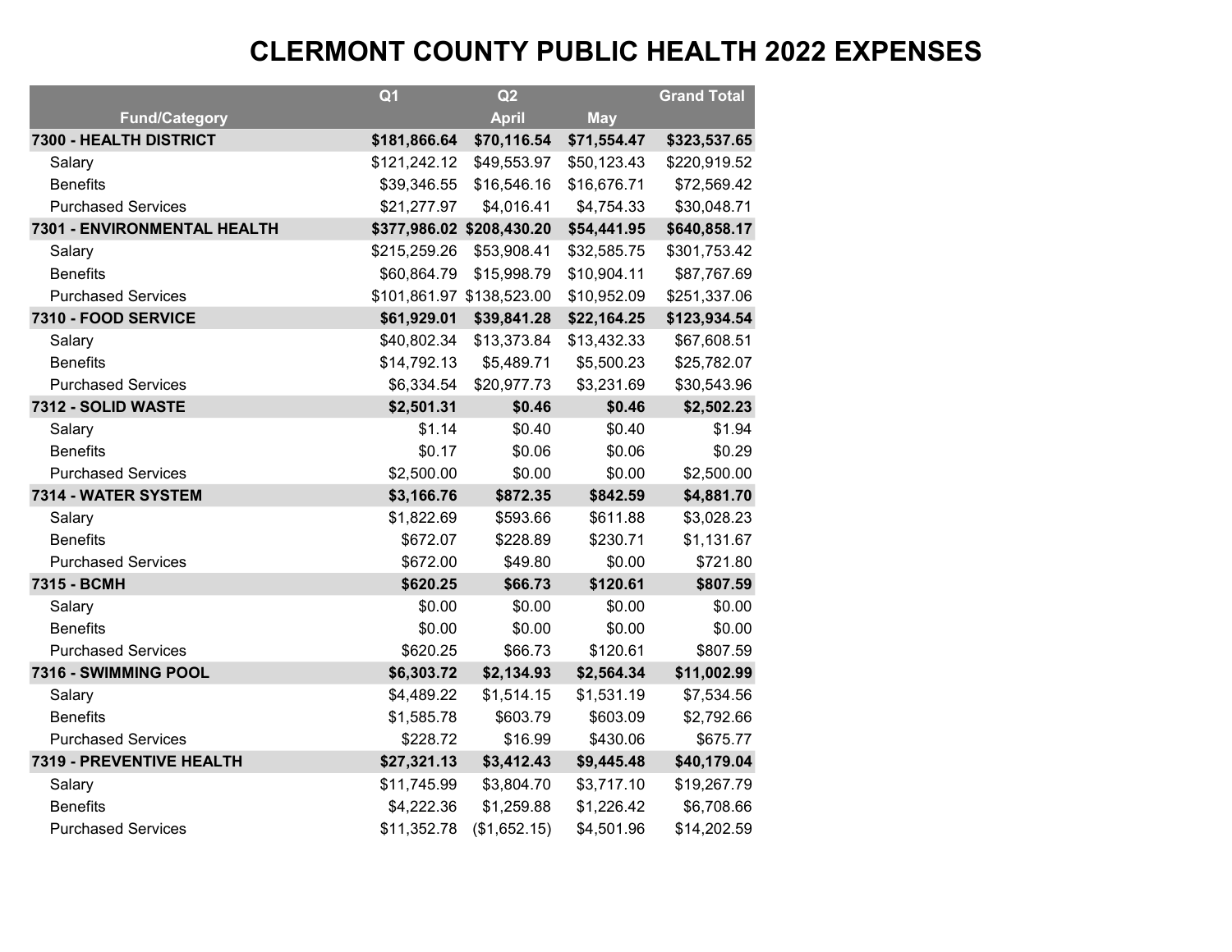|                             | Q <sub>1</sub> | Q2                        |             | <b>Grand Total</b> |
|-----------------------------|----------------|---------------------------|-------------|--------------------|
| <b>Fund/Category</b>        |                | <b>April</b>              | <b>May</b>  |                    |
| 7300 - HEALTH DISTRICT      | \$181,866.64   | \$70,116.54               | \$71,554.47 | \$323,537.65       |
| Salary                      | \$121,242.12   | \$49,553.97               | \$50,123.43 | \$220,919.52       |
| <b>Benefits</b>             | \$39,346.55    | \$16,546.16               | \$16,676.71 | \$72,569.42        |
| <b>Purchased Services</b>   | \$21,277.97    | \$4,016.41                | \$4,754.33  | \$30,048.71        |
| 7301 - ENVIRONMENTAL HEALTH |                | \$377,986.02 \$208,430.20 | \$54,441.95 | \$640,858.17       |
| Salary                      | \$215,259.26   | \$53,908.41               | \$32,585.75 | \$301,753.42       |
| <b>Benefits</b>             | \$60,864.79    | \$15,998.79               | \$10,904.11 | \$87,767.69        |
| <b>Purchased Services</b>   |                | \$101,861.97 \$138,523.00 | \$10,952.09 | \$251,337.06       |
| 7310 - FOOD SERVICE         | \$61,929.01    | \$39,841.28               | \$22,164.25 | \$123,934.54       |
| Salary                      | \$40,802.34    | \$13,373.84               | \$13,432.33 | \$67,608.51        |
| <b>Benefits</b>             | \$14,792.13    | \$5,489.71                | \$5,500.23  | \$25,782.07        |
| <b>Purchased Services</b>   | \$6,334.54     | \$20,977.73               | \$3,231.69  | \$30,543.96        |
| 7312 - SOLID WASTE          | \$2,501.31     | \$0.46                    | \$0.46      | \$2,502.23         |
| Salary                      | \$1.14         | \$0.40                    | \$0.40      | \$1.94             |
| <b>Benefits</b>             | \$0.17         | \$0.06                    | \$0.06      | \$0.29             |
| <b>Purchased Services</b>   | \$2,500.00     | \$0.00                    | \$0.00      | \$2,500.00         |
| 7314 - WATER SYSTEM         | \$3,166.76     | \$872.35                  | \$842.59    | \$4,881.70         |
| Salary                      | \$1,822.69     | \$593.66                  | \$611.88    | \$3,028.23         |
| <b>Benefits</b>             | \$672.07       | \$228.89                  | \$230.71    | \$1,131.67         |
| <b>Purchased Services</b>   | \$672.00       | \$49.80                   | \$0.00      | \$721.80           |
| 7315 - BCMH                 | \$620.25       | \$66.73                   | \$120.61    | \$807.59           |
| Salary                      | \$0.00         | \$0.00                    | \$0.00      | \$0.00             |
| <b>Benefits</b>             | \$0.00         | \$0.00                    | \$0.00      | \$0.00             |
| <b>Purchased Services</b>   | \$620.25       | \$66.73                   | \$120.61    | \$807.59           |
| 7316 - SWIMMING POOL        | \$6,303.72     | \$2,134.93                | \$2,564.34  | \$11,002.99        |
| Salary                      | \$4,489.22     | \$1,514.15                | \$1,531.19  | \$7,534.56         |
| <b>Benefits</b>             | \$1,585.78     | \$603.79                  | \$603.09    | \$2,792.66         |
| <b>Purchased Services</b>   | \$228.72       | \$16.99                   | \$430.06    | \$675.77           |
| 7319 - PREVENTIVE HEALTH    | \$27,321.13    | \$3,412.43                | \$9,445.48  | \$40,179.04        |
| Salary                      | \$11,745.99    | \$3,804.70                | \$3,717.10  | \$19,267.79        |
| <b>Benefits</b>             | \$4,222.36     | \$1,259.88                | \$1,226.42  | \$6,708.66         |
| <b>Purchased Services</b>   | \$11,352.78    | (\$1,652.15)              | \$4,501.96  | \$14,202.59        |